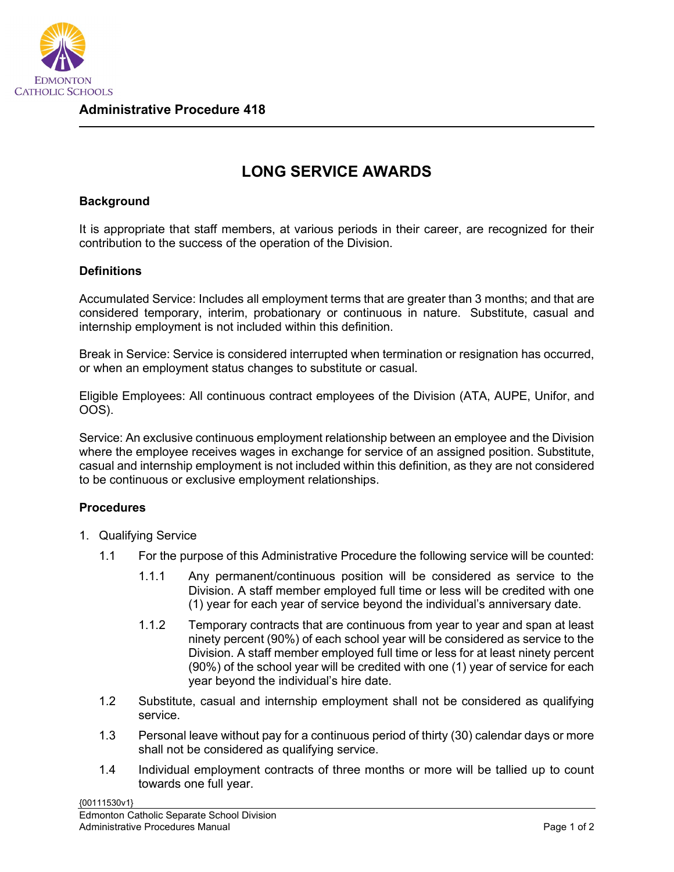

## **LONG SERVICE AWARDS**

## **Background**

It is appropriate that staff members, at various periods in their career, are recognized for their contribution to the success of the operation of the Division.

## **Definitions**

Accumulated Service: Includes all employment terms that are greater than 3 months; and that are considered temporary, interim, probationary or continuous in nature. Substitute, casual and internship employment is not included within this definition.

Break in Service: Service is considered interrupted when termination or resignation has occurred, or when an employment status changes to substitute or casual.

Eligible Employees: All continuous contract employees of the Division (ATA, AUPE, Unifor, and OOS).

Service: An exclusive continuous employment relationship between an employee and the Division where the employee receives wages in exchange for service of an assigned position. Substitute, casual and internship employment is not included within this definition, as they are not considered to be continuous or exclusive employment relationships.

## **Procedures**

- 1. Qualifying Service
	- 1.1 For the purpose of this Administrative Procedure the following service will be counted:
		- 1.1.1 Any permanent/continuous position will be considered as service to the Division. A staff member employed full time or less will be credited with one (1) year for each year of service beyond the individual's anniversary date.
		- 1.1.2 Temporary contracts that are continuous from year to year and span at least ninety percent (90%) of each school year will be considered as service to the Division. A staff member employed full time or less for at least ninety percent (90%) of the school year will be credited with one (1) year of service for each year beyond the individual's hire date.
	- 1.2 Substitute, casual and internship employment shall not be considered as qualifying service.
	- 1.3 Personal leave without pay for a continuous period of thirty (30) calendar days or more shall not be considered as qualifying service.
	- 1.4 Individual employment contracts of three months or more will be tallied up to count towards one full year.